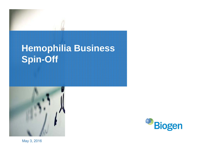# **Hemophilia Business Spin-Off**





May 3, 2016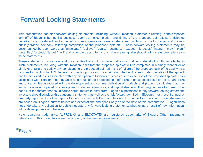## **Forward-Looking Statements**

This presentation contains forward-looking statements, including, without limitation, statements relating to the proposed spin-off of Biogen's hemophilia business, such as the completion and timing of the proposed spin-off, its anticipated benefits, its tax treatment, and expected business operations, plans, strategy, and capital structure for Biogen and the new publicly traded company following completion of the proposed spin-off. These forward-looking statements may be accompanied by such words as "anticipate," "believe," "could," "estimate," "expect," "forecast," "intend," "may," "plan," "potential," "project," "target," "will" and other words and terms of similar meaning. You should not place undue reliance on these statements.

These statements involve risks and uncertainties that could cause actual results to differ materially from those reflected in such statements, including, without limitation, risks that the proposed spin-off will be completed in <sup>a</sup> timely manner or at all; risks of failure to satisfy any conditions to the proposed spin-off; risks of failure of the proposed spin-off to qualify as <sup>a</sup> tax-free transaction for U.S. federal income tax purposes; uncertainty of whether the anticipated benefits of the spin-off can be achieved; risks associated with any disruption to Biogen's business due to execution of the proposed spin-off; risks associated with litigation that may arise as <sup>a</sup> result of the proposed spin-off; risks of unexpected costs or delays; and risks and uncertainties associated with the development and commercialization of products and product candidates that may impact or alter anticipated business plans, strategies, objectives, and capital structure. The foregoing sets forth many, but not all, of the factors that could cause actual results to differ from Biogen's expectations in any forward-looking statement. Investors should consider this cautionary statement, as well as the risk factors identified in Biogen's most recent annual or quarterly report and in other reports Biogen has filed with the Securities and Exchange Commission. These statements are based on Biogen's current beliefs and expectations and speak only as of the date of this presentation. Biogen does not undertake any obligation to publicly update any forward-looking statements, whether as <sup>a</sup> result of new information, future developments or otherwise.

Note regarding trademarks: ALPROLIX® and ELOCTATE® are registered trademarks of Biogen. Other trademarks referenced in this presentation are the property of their respective owners.

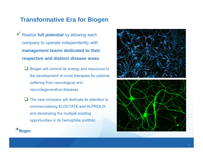## **Transformative Era for Biogen**

- Realize **full potential** by allowing each company to operate independently with **management teams dedicated to their respective and distinct disease areas**
	- $\Box$  Biogen will commit its energy and resources to the development of novel therapies for patients suffering from neurological and neurodegenerative diseases
	- $\Box$  The new company will dedicate its attention to commercializing ELOCTATE and ALPROLIX and developing the multiple exciting opportunities in its hemophilia portfolio

**Biogen** 



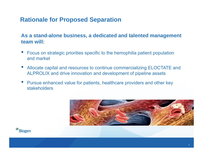## **Rationale for Proposed Separation**

#### **As a stand-alone business, a dedicated and talented management team will:**

- • Focus on strategic priorities specific to the hemophilia patient population and market
- • Allocate capital and resources to continue commercializing ELOCTATE and ALPROLIX and drive innovation and development of pipeline assets
- • Pursue enhanced value for patients, healthcare providers and other key stakeholders



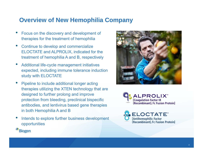## **Overview of New Hemophilia Company**

- • Focus on the discovery and development of therapies for the treatment of hemophilia
- • Continue to develop and commercialize ELOCTATE and ALPROLIX, indicated for the treatment of hemophilia A and B, respectively
- • Additional life-cycle management initiatives expected, including immune tolerance induction study with ELOCTATE
- • Pipeline to include additional longer acting therapies utilizing the XTEN technology that are designed to further prolong and improve protection from bleeding, preclinical bispecific antibodies, and lentivirus based gene therapies in both Hemophilia A and B
- • Intends to explore further business development opportunities







**Biogen**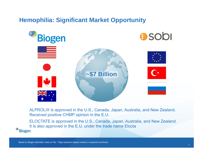## **Hemophilia: Significant Market Opportunity**



ALPROLIX is approved in the U.S., Canada, Japan, Australia, and New Zealand. Received positive CHMP opinion in the E.U.

ELOCTATE is approved in the U.S., Canada, Japan, Australia, and New Zealand. It is also approved in the E.U. under the trade name Elocta<br>Biogen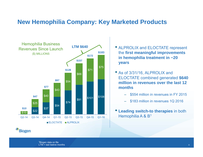#### **New Hemophilia Company: Key Marketed Products**



- ALPROLIX and ELOCTATE represent the **first meaningful improvements in hemophilia treatment in ~20 years**
- As of 3/31/16, ALPROLIX and ELOCTATE combined generated **\$640 million in revenues over the last 12 months**
	- \$554 million in revenues in FY 2015
	- \$183 million in revenues 1Q 2016
- **Leading switch-to therapies** in both Hemophilia A & B<sup>1</sup>

1Biogen data on file  $LTM =$  last twelve months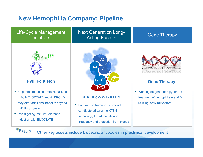## **New Hemophilia Company: Pipeline**

#### Life-Cycle Management **Initiatives**

Next Generation Long-Acting Factors **Contract Contract Contract Contract Contract Contract Contract Contract Contract Contract Control Contract Contract Contract Contract Contract Contract Contract Contract Contract Contract Contract Contract** 



#### **FVIII Fc fusion**

- Fc portion of fusion proteins, utilized in both ELOCTATE and ALPROLIX, may offer additional benefits beyond half-life extension
- Investigating immune tolerance induction with ELOCTATE

**Biogen** 



#### **rFVIIIFc-VWF-XTEN**

 $\bullet$  Long-acting hemophilia product candidate utilizing the XTEN technology to reduce infusion frequency and protection from bleeds



#### **Gene Therapy**

• Working on gene therapy for the treatment of hemophilia A and B utilizing lentiviral vectors

Other key assets include bispecific antibodies in preclinical development